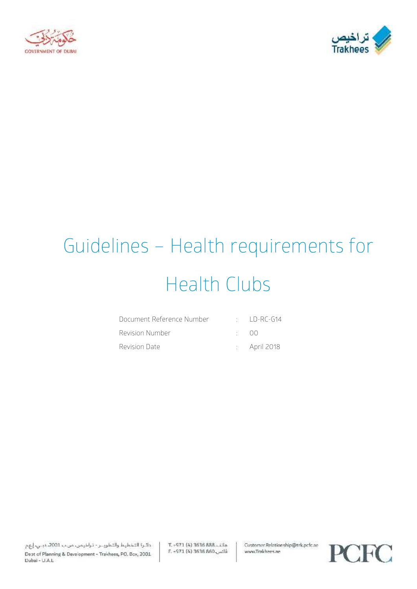



# Guidelines – Health requirements for Health Clubs

| Document Reference Number | $\therefore$ ID-RC-G14  |
|---------------------------|-------------------------|
| Revision Number           | $($ )( )                |
| Revision Date             | $\therefore$ April 2018 |

T. - 971 (4) 3636 888. Lila E. -971 (4) 3636 860 Customer Relationship@trk.pcfc.ae www.Trakhees.ae

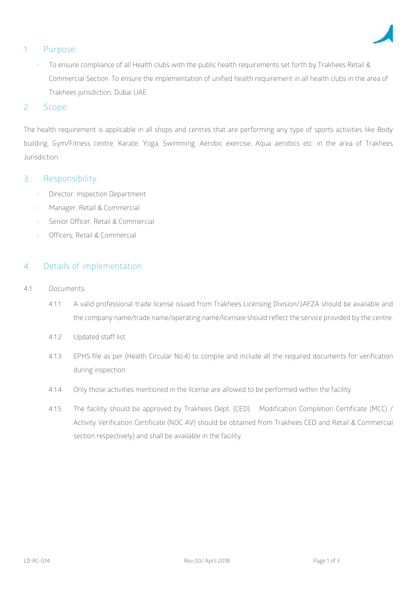

## **1. Purpose:**

- To ensure compliance of all Health clubs with the public health requirements set forth by Trakhees Retail & Commercial Section. To ensure the implementation of unified health requirement in all health clubs in the area of Trakhees jurisdiction, Dubai UAE.

#### 2. **Scope**:

The health requirement is applicable in all shops and centres that are performing any type of sports activities like Body building, Gym/Fitness centre, Karate, Yoga, Swimming, Aerobic exercise, Aqua aerobics etc. in the area of Trakhees Jurisdiction.

#### **3. Responsibility:**

- Director, Inspection Department
- Manager, Retail & Commercial
- Senior Officer, Retail & Commercial
- Officers, Retail & Commercial

## **4. Details of implementation**:

- 4.1 **Documents:**
	- 4.1.1 A valid professional trade license issued from Trakhees Licensing Division/JAFZA should be available and the company name/trade name/operating name/licensee should reflect the service provided by the centre.
	- 4.1.2 Updated staff list.
	- 4.1.3 EPHS file as per (Health Circular No.4) to compile and include all the required documents for verification during inspection.
	- 4.1.4 Only those activities mentioned in the license are allowed to be performed within the facility.
	- 4.1.5 The facility should be approved by Trakhees Dept. (CED). Modification Completion Certificate (MCC) / Activity Verification Certificate (NOC AV) should be obtained from Trakhees CED and Retail & Commercial section respectively) and shall be available in the facility.